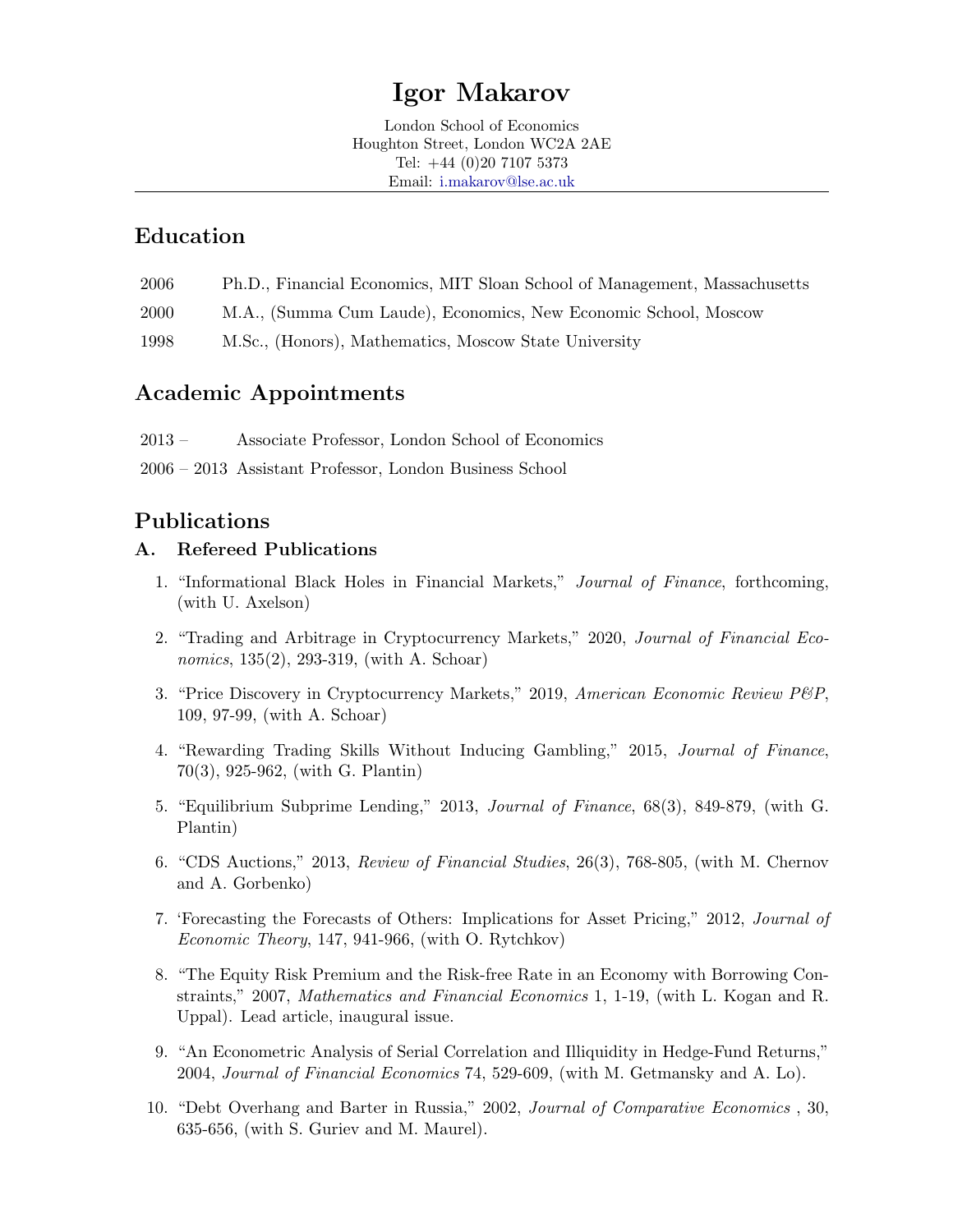# Igor Makarov

London School of Economics Houghton Street, London WC2A 2AE Tel: +44 (0)20 7107 5373 Email: [i.makarov@lse.ac.uk](mailto:i.makarov@lse.ac.uk)

### Education

- 2006 Ph.D., Financial Economics, MIT Sloan School of Management, Massachusetts
- 2000 M.A., (Summa Cum Laude), Economics, New Economic School, Moscow
- 1998 M.Sc., (Honors), Mathematics, Moscow State University

# Academic Appointments

- 2013 Associate Professor, London School of Economics
- 2006 2013 Assistant Professor, London Business School

# Publications

### A. Refereed Publications

- 1. "Informational Black Holes in Financial Markets," Journal of Finance, forthcoming, (with U. Axelson)
- 2. "Trading and Arbitrage in Cryptocurrency Markets," 2020, Journal of Financial Economics, 135(2), 293-319, (with A. Schoar)
- 3. "Price Discovery in Cryptocurrency Markets," 2019, American Economic Review P&P, 109, 97-99, (with A. Schoar)
- 4. "Rewarding Trading Skills Without Inducing Gambling," 2015, Journal of Finance, 70(3), 925-962, (with G. Plantin)
- 5. "Equilibrium Subprime Lending," 2013, Journal of Finance, 68(3), 849-879, (with G. Plantin)
- 6. "CDS Auctions," 2013, Review of Financial Studies, 26(3), 768-805, (with M. Chernov and A. Gorbenko)
- 7. 'Forecasting the Forecasts of Others: Implications for Asset Pricing," 2012, Journal of Economic Theory, 147, 941-966, (with O. Rytchkov)
- 8. "The Equity Risk Premium and the Risk-free Rate in an Economy with Borrowing Constraints," 2007, Mathematics and Financial Economics 1, 1-19, (with L. Kogan and R. Uppal). Lead article, inaugural issue.
- 9. "An Econometric Analysis of Serial Correlation and Illiquidity in Hedge-Fund Returns," 2004, Journal of Financial Economics 74, 529-609, (with M. Getmansky and A. Lo).
- 10. "Debt Overhang and Barter in Russia," 2002, Journal of Comparative Economics , 30, 635-656, (with S. Guriev and M. Maurel).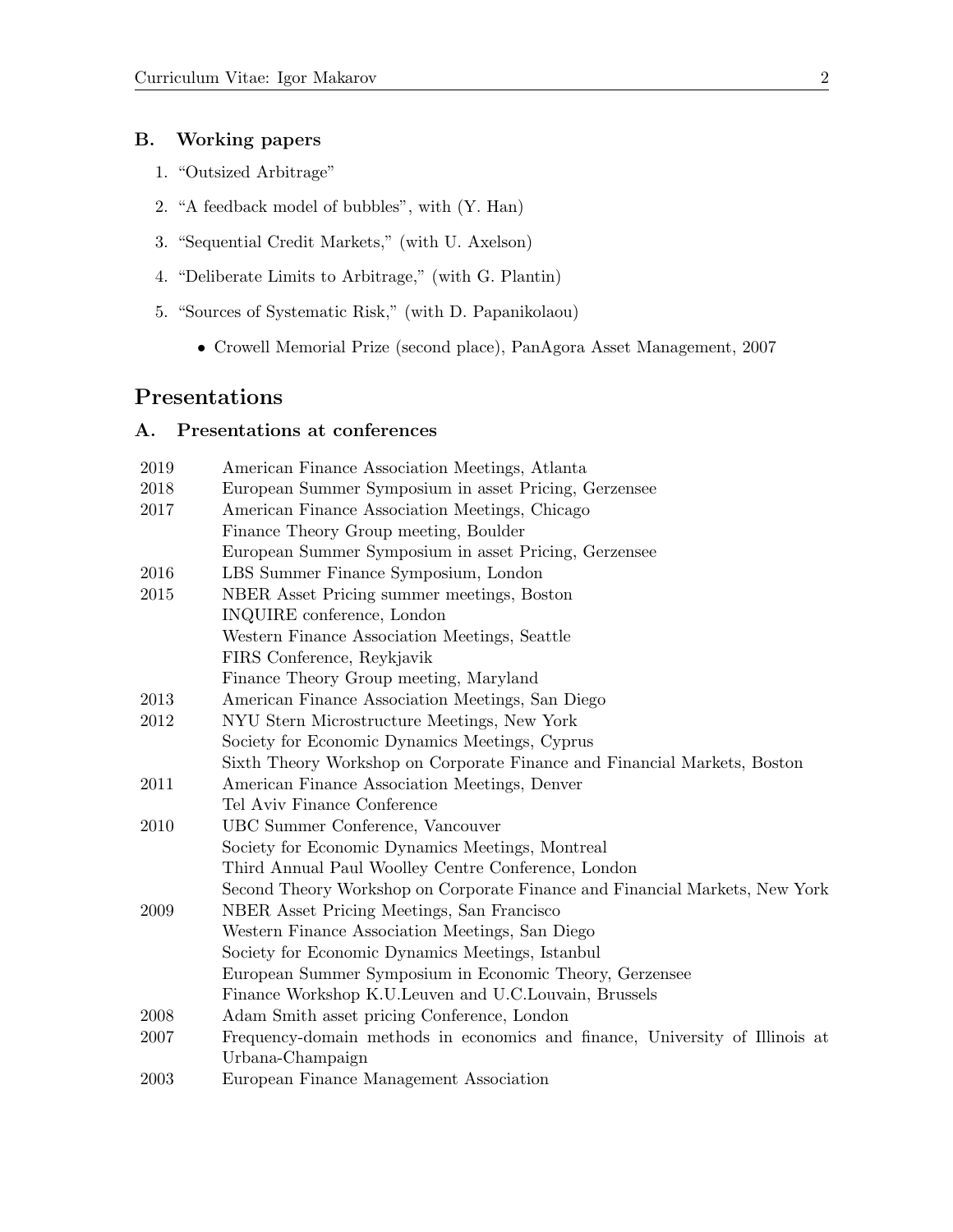#### B. Working papers

- 1. "Outsized Arbitrage"
- 2. "A feedback model of bubbles", with (Y. Han)
- 3. "Sequential Credit Markets," (with U. Axelson)
- 4. "Deliberate Limits to Arbitrage," (with G. Plantin)
- 5. "Sources of Systematic Risk," (with D. Papanikolaou)
	- Crowell Memorial Prize (second place), PanAgora Asset Management, 2007

### Presentations

### A. Presentations at conferences

| 2019 | American Finance Association Meetings, Atlanta                               |
|------|------------------------------------------------------------------------------|
| 2018 | European Summer Symposium in asset Pricing, Gerzensee                        |
| 2017 | American Finance Association Meetings, Chicago                               |
|      | Finance Theory Group meeting, Boulder                                        |
|      | European Summer Symposium in asset Pricing, Gerzensee                        |
| 2016 | LBS Summer Finance Symposium, London                                         |
| 2015 | NBER Asset Pricing summer meetings, Boston                                   |
|      | INQUIRE conference, London                                                   |
|      | Western Finance Association Meetings, Seattle                                |
|      | FIRS Conference, Reykjavik                                                   |
|      | Finance Theory Group meeting, Maryland                                       |
| 2013 | American Finance Association Meetings, San Diego                             |
| 2012 | NYU Stern Microstructure Meetings, New York                                  |
|      | Society for Economic Dynamics Meetings, Cyprus                               |
|      | Sixth Theory Workshop on Corporate Finance and Financial Markets, Boston     |
| 2011 | American Finance Association Meetings, Denver                                |
|      | Tel Aviv Finance Conference                                                  |
| 2010 | UBC Summer Conference, Vancouver                                             |
|      | Society for Economic Dynamics Meetings, Montreal                             |
|      | Third Annual Paul Woolley Centre Conference, London                          |
|      | Second Theory Workshop on Corporate Finance and Financial Markets, New York  |
| 2009 | NBER Asset Pricing Meetings, San Francisco                                   |
|      | Western Finance Association Meetings, San Diego                              |
|      | Society for Economic Dynamics Meetings, Istanbul                             |
|      | European Summer Symposium in Economic Theory, Gerzensee                      |
|      | Finance Workshop K.U. Leuven and U.C. Louvain, Brussels                      |
| 2008 | Adam Smith asset pricing Conference, London                                  |
| 2007 | Frequency-domain methods in economics and finance, University of Illinois at |
|      | Urbana-Champaign                                                             |
| 2003 | European Finance Management Association                                      |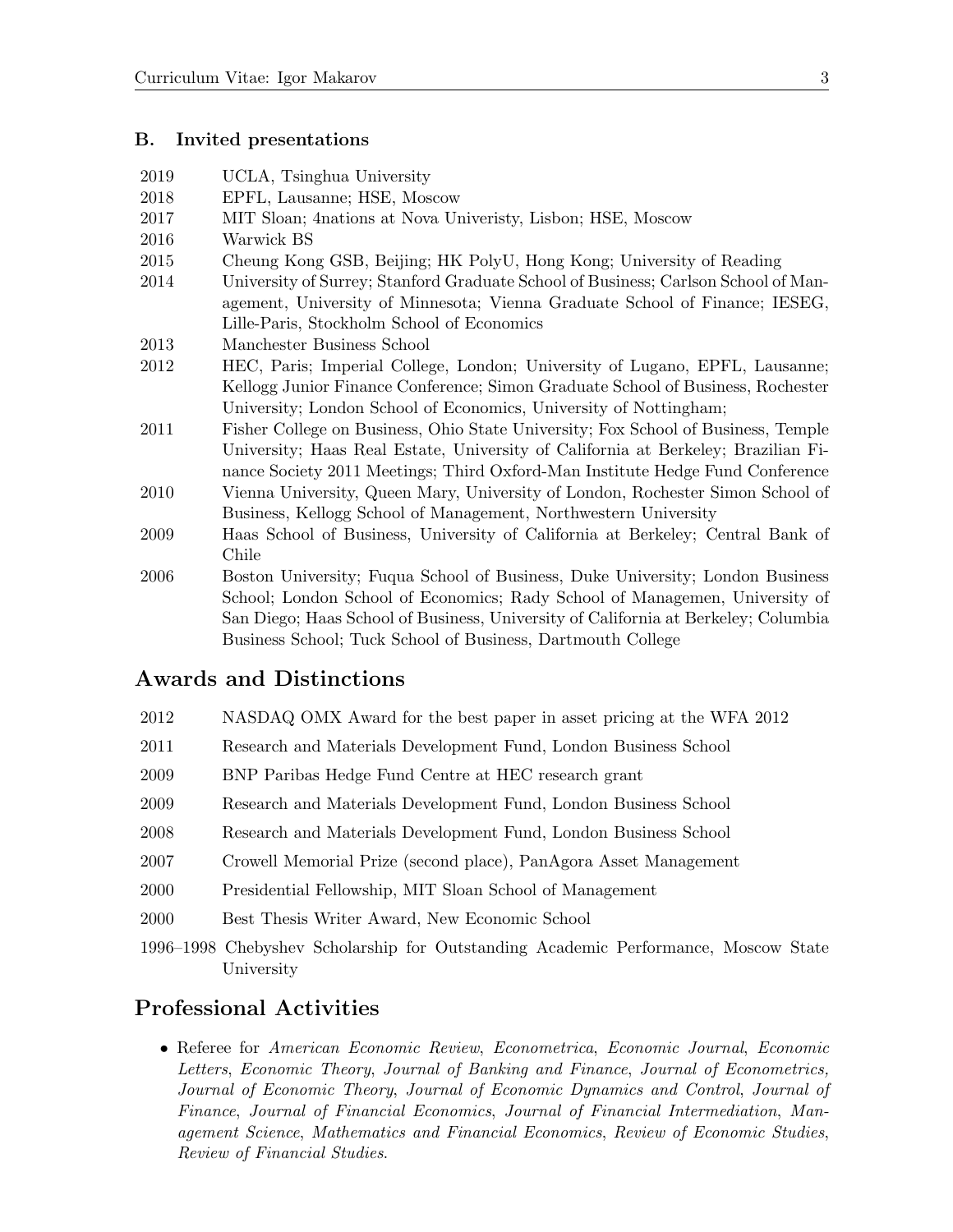#### B. Invited presentations

2019 UCLA, Tsinghua University

| EPFL, Lausanne; HSE, Moscow                                                                                                                                       |
|-------------------------------------------------------------------------------------------------------------------------------------------------------------------|
| MIT Sloan; 4 nations at Nova University, Lisbon; HSE, Moscow                                                                                                      |
| Warwick BS                                                                                                                                                        |
| Cheung Kong GSB, Beijing; HK PolyU, Hong Kong; University of Reading                                                                                              |
| University of Surrey; Stanford Graduate School of Business; Carlson School of Man-<br>agement, University of Minnesota; Vienna Graduate School of Finance; IESEG, |
| Lille-Paris, Stockholm School of Economics                                                                                                                        |
| Manchester Business School                                                                                                                                        |
| HEC, Paris; Imperial College, London; University of Lugano, EPFL, Lausanne;                                                                                       |
| Kellogg Junior Finance Conference; Simon Graduate School of Business, Rochester                                                                                   |
| University; London School of Economics, University of Nottingham;                                                                                                 |
| Fisher College on Business, Ohio State University; Fox School of Business, Temple                                                                                 |
| University; Haas Real Estate, University of California at Berkeley; Brazilian Fi-                                                                                 |
|                                                                                                                                                                   |

- f California at Berkeley; Brazilian Finance Society 2011 Meetings; Third Oxford-Man Institute Hedge Fund Conference
- 2010 Vienna University, Queen Mary, University of London, Rochester Simon School of Business, Kellogg School of Management, Northwestern University
- 2009 Haas School of Business, University of California at Berkeley; Central Bank of Chile
- 2006 Boston University; Fuqua School of Business, Duke University; London Business School; London School of Economics; Rady School of Managemen, University of San Diego; Haas School of Business, University of California at Berkeley; Columbia Business School; Tuck School of Business, Dartmouth College

### Awards and Distinctions

- 2012 NASDAQ OMX Award for the best paper in asset pricing at the WFA 2012
- 2011 Research and Materials Development Fund, London Business School
- 2009 BNP Paribas Hedge Fund Centre at HEC research grant
- 2009 Research and Materials Development Fund, London Business School
- 2008 Research and Materials Development Fund, London Business School
- 2007 Crowell Memorial Prize (second place), PanAgora Asset Management
- 2000 Presidential Fellowship, MIT Sloan School of Management
- 2000 Best Thesis Writer Award, New Economic School
- 1996–1998 Chebyshev Scholarship for Outstanding Academic Performance, Moscow State University

### Professional Activities

• Referee for American Economic Review, Econometrica, Economic Journal, Economic Letters, Economic Theory, Journal of Banking and Finance, Journal of Econometrics, Journal of Economic Theory, Journal of Economic Dynamics and Control, Journal of Finance, Journal of Financial Economics, Journal of Financial Intermediation, Management Science, Mathematics and Financial Economics, Review of Economic Studies, Review of Financial Studies.